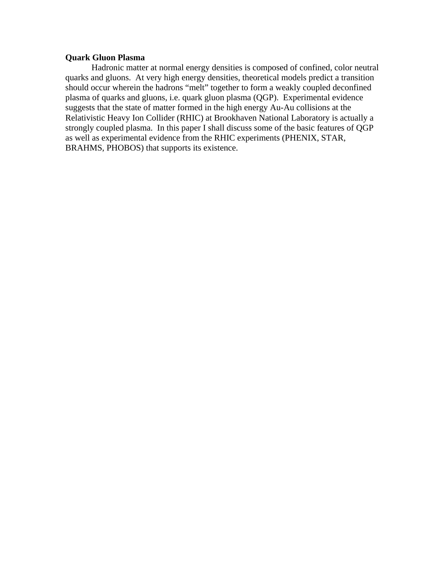# **Quark Gluon Plasma**

Hadronic matter at normal energy densities is composed of confined, color neutral quarks and gluons. At very high energy densities, theoretical models predict a transition should occur wherein the hadrons "melt" together to form a weakly coupled deconfined plasma of quarks and gluons, i.e. quark gluon plasma (QGP). Experimental evidence suggests that the state of matter formed in the high energy Au-Au collisions at the Relativistic Heavy Ion Collider (RHIC) at Brookhaven National Laboratory is actually a strongly coupled plasma. In this paper I shall discuss some of the basic features of QGP as well as experimental evidence from the RHIC experiments (PHENIX, STAR, BRAHMS, PHOBOS) that supports its existence.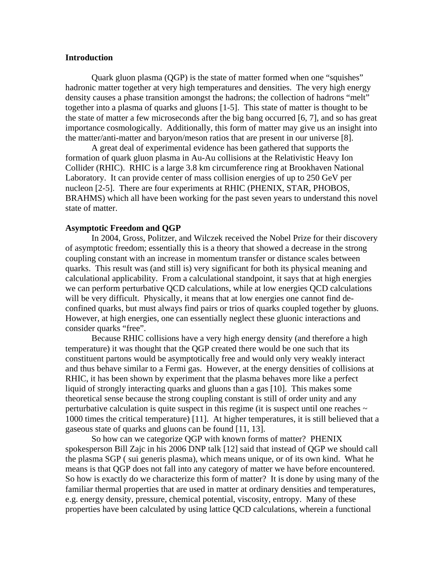# **Introduction**

Quark gluon plasma (QGP) is the state of matter formed when one "squishes" hadronic matter together at very high temperatures and densities. The very high energy density causes a phase transition amongst the hadrons; the collection of hadrons "melt" together into a plasma of quarks and gluons [1-5]. This state of matter is thought to be the state of matter a few microseconds after the big bang occurred [6, 7], and so has great importance cosmologically. Additionally, this form of matter may give us an insight into the matter/anti-matter and baryon/meson ratios that are present in our universe [8].

A great deal of experimental evidence has been gathered that supports the formation of quark gluon plasma in Au-Au collisions at the Relativistic Heavy Ion Collider (RHIC). RHIC is a large 3.8 km circumference ring at Brookhaven National Laboratory. It can provide center of mass collision energies of up to 250 GeV per nucleon [2-5]. There are four experiments at RHIC (PHENIX, STAR, PHOBOS, BRAHMS) which all have been working for the past seven years to understand this novel state of matter.

### **Asymptotic Freedom and QGP**

 In 2004, Gross, Politzer, and Wilczek received the Nobel Prize for their discovery of asymptotic freedom; essentially this is a theory that showed a decrease in the strong coupling constant with an increase in momentum transfer or distance scales between quarks. This result was (and still is) very significant for both its physical meaning and calculational applicability. From a calculational standpoint, it says that at high energies we can perform perturbative QCD calculations, while at low energies QCD calculations will be very difficult. Physically, it means that at low energies one cannot find deconfined quarks, but must always find pairs or trios of quarks coupled together by gluons. However, at high energies, one can essentially neglect these gluonic interactions and consider quarks "free".

Because RHIC collisions have a very high energy density (and therefore a high temperature) it was thought that the QGP created there would be one such that its constituent partons would be asymptotically free and would only very weakly interact and thus behave similar to a Fermi gas. However, at the energy densities of collisions at RHIC, it has been shown by experiment that the plasma behaves more like a perfect liquid of strongly interacting quarks and gluons than a gas [10]. This makes some theoretical sense because the strong coupling constant is still of order unity and any perturbative calculation is quite suspect in this regime (it is suspect until one reaches  $\sim$ 1000 times the critical temperature) [11]. At higher temperatures, it is still believed that a gaseous state of quarks and gluons can be found [11, 13].

 So how can we categorize QGP with known forms of matter? PHENIX spokesperson Bill Zajc in his 2006 DNP talk [12] said that instead of QGP we should call the plasma SGP ( sui generis plasma), which means unique, or of its own kind. What he means is that QGP does not fall into any category of matter we have before encountered. So how is exactly do we characterize this form of matter? It is done by using many of the familiar thermal properties that are used in matter at ordinary densities and temperatures, e.g. energy density, pressure, chemical potential, viscosity, entropy. Many of these properties have been calculated by using lattice QCD calculations, wherein a functional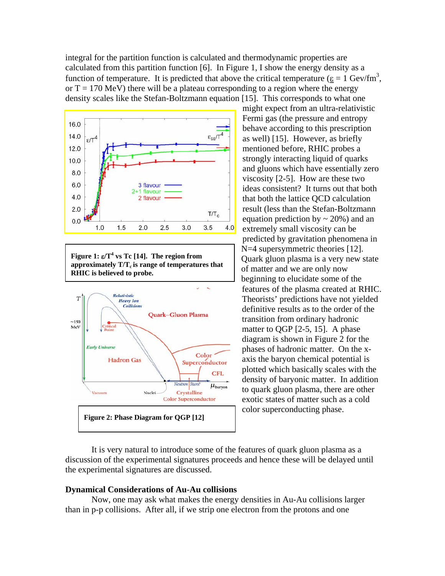integral for the partition function is calculated and thermodynamic properties are calculated from this partition function [6]. In Figure 1, I show the energy density as a function of temperature. It is predicted that above the critical temperature ( $\underline{\epsilon} = 1$  Gev/fm<sup>3</sup>, or  $T = 170$  MeV) there will be a plateau corresponding to a region where the energy density scales like the Stefan-Boltzmann equation [15]. This corresponds to what one



**Figure 1:** ε**/T4 vs Tc [14]. The region from**  approximately  $T/T_c$  is range of temperatures that **RHIC is believed to probe.** 



might expect from an ultra-relativistic Fermi gas (the pressure and entropy behave according to this prescription as well) [15]. However, as briefly mentioned before, RHIC probes a strongly interacting liquid of quarks and gluons which have essentially zero viscosity [2-5]. How are these two ideas consistent? It turns out that both that both the lattice QCD calculation result (less than the Stefan-Boltzmann equation prediction by  $\sim$  20%) and an extremely small viscosity can be predicted by gravitation phenomena in N=4 supersymmetric theories [12]. Quark gluon plasma is a very new state of matter and we are only now beginning to elucidate some of the features of the plasma created at RHIC. Theorists' predictions have not yielded definitive results as to the order of the transition from ordinary hadronic matter to QGP [2-5, 15]. A phase diagram is shown in Figure 2 for the phases of hadronic matter. On the xaxis the baryon chemical potential is plotted which basically scales with the density of baryonic matter. In addition to quark gluon plasma, there are other exotic states of matter such as a cold color superconducting phase.

It is very natural to introduce some of the features of quark gluon plasma as a discussion of the experimental signatures proceeds and hence these will be delayed until the experimental signatures are discussed.

### **Dynamical Considerations of Au-Au collisions**

 Now, one may ask what makes the energy densities in Au-Au collisions larger than in p-p collisions. After all, if we strip one electron from the protons and one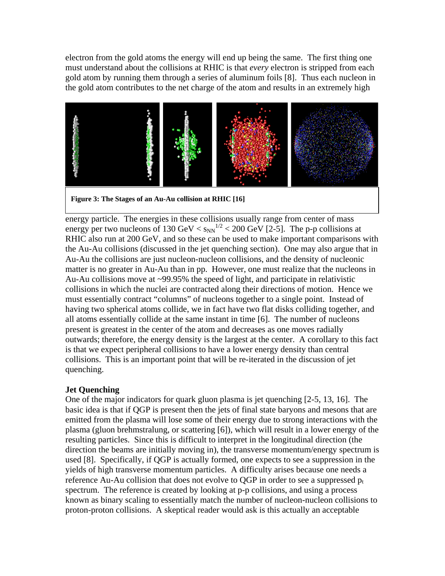electron from the gold atoms the energy will end up being the same. The first thing one must understand about the collisions at RHIC is that *every* electron is stripped from each gold atom by running them through a series of aluminum foils [8]. Thus each nucleon in the gold atom contributes to the net charge of the atom and results in an extremely high



**Figure 3: The Stages of an Au-Au collision at RHIC [16]** 

energy particle. The energies in these collisions usually range from center of mass energy per two nucleons of 130 GeV  $\langle s_{NN}^{1/2} \rangle$  < 200 GeV [2-5]. The p-p collisions at RHIC also run at 200 GeV, and so these can be used to make important comparisons with the Au-Au collisions (discussed in the jet quenching section). One may also argue that in Au-Au the collisions are just nucleon-nucleon collisions, and the density of nucleonic matter is no greater in Au-Au than in pp. However, one must realize that the nucleons in Au-Au collisions move at ~99.95% the speed of light, and participate in relativistic collisions in which the nuclei are contracted along their directions of motion. Hence we must essentially contract "columns" of nucleons together to a single point. Instead of having two spherical atoms collide, we in fact have two flat disks colliding together, and all atoms essentially collide at the same instant in time [6]. The number of nucleons present is greatest in the center of the atom and decreases as one moves radially outwards; therefore, the energy density is the largest at the center. A corollary to this fact is that we expect peripheral collisions to have a lower energy density than central collisions. This is an important point that will be re-iterated in the discussion of jet quenching.

# **Jet Quenching**

One of the major indicators for quark gluon plasma is jet quenching [2-5, 13, 16]. The basic idea is that if QGP is present then the jets of final state baryons and mesons that are emitted from the plasma will lose some of their energy due to strong interactions with the plasma (gluon brehmstralung, or scattering [6]), which will result in a lower energy of the resulting particles. Since this is difficult to interpret in the longitudinal direction (the direction the beams are initially moving in), the transverse momentum/energy spectrum is used [8]. Specifically, if QGP is actually formed, one expects to see a suppression in the yields of high transverse momentum particles. A difficulty arises because one needs a reference Au-Au collision that does not evolve to QGP in order to see a suppressed  $p_t$ spectrum. The reference is created by looking at p-p collisions, and using a process known as binary scaling to essentially match the number of nucleon-nucleon collisions to proton-proton collisions. A skeptical reader would ask is this actually an acceptable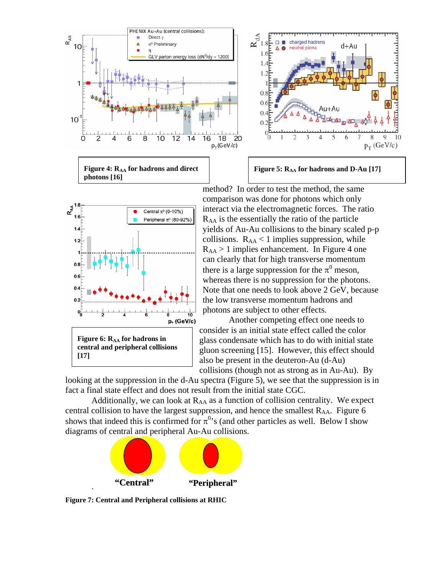









method? In order to test the method, the same comparison was done for photons which only interact via the electromagnetic forces. The ratio  $R_{AA}$  is the essentially the ratio of the particle yields of Au-Au collisions to the binary scaled p-p collisions.  $R_{AA}$  < 1 implies suppression, while  $R_{AA}$  > 1 implies enhancement. In Figure 4 one can clearly that for high transverse momentum there is a large suppression for the  $\pi^0$  meson, whereas there is no suppression for the photons. Note that one needs to look above 2 GeV, because the low transverse momentum hadrons and photons are subject to other effects.

Another competing effect one needs to consider is an initial state effect called the color glass condensate which has to do with initial state gluon screening [15]. However, this effect should also be present in the deuteron-Au (d-Au) collisions (though not as strong as in Au-Au). By

looking at the suppression in the d-Au spectra (Figure 5), we see that the suppression is in fact a final state effect and does not result from the initial state CGC.

Additionally, we can look at  $R_{AA}$  as a function of collision centrality. We expect central collision to have the largest suppression, and hence the smallest  $R_{AA}$ . Figure 6 shows that indeed this is confirmed for  $\pi^{0}$ 's (and other particles as well. Below I show diagrams of central and peripheral Au-Au collisions.



**Figure 7: Central and Peripheral collisions at RHIC**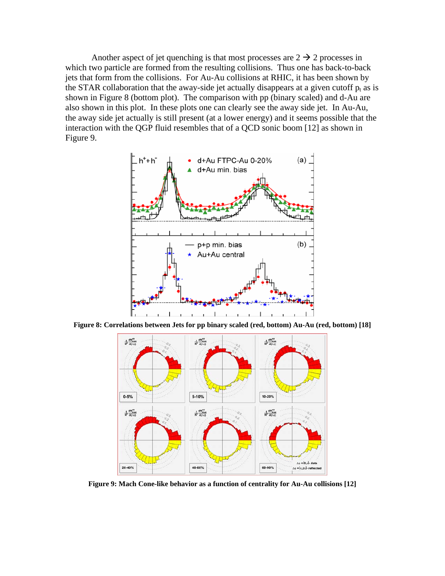Another aspect of jet quenching is that most processes are  $2 \rightarrow 2$  processes in which two particle are formed from the resulting collisions. Thus one has back-to-back jets that form from the collisions. For Au-Au collisions at RHIC, it has been shown by the STAR collaboration that the away-side jet actually disappears at a given cutoff  $p_t$  as is shown in Figure 8 (bottom plot). The comparison with pp (binary scaled) and d-Au are also shown in this plot. In these plots one can clearly see the away side jet. In Au-Au, the away side jet actually is still present (at a lower energy) and it seems possible that the interaction with the QGP fluid resembles that of a QCD sonic boom [12] as shown in Figure 9.



**Figure 8: Correlations between Jets for pp binary scaled (red, bottom) Au-Au (red, bottom) [18]** 



**Figure 9: Mach Cone-like behavior as a function of centrality for Au-Au collisions [12]**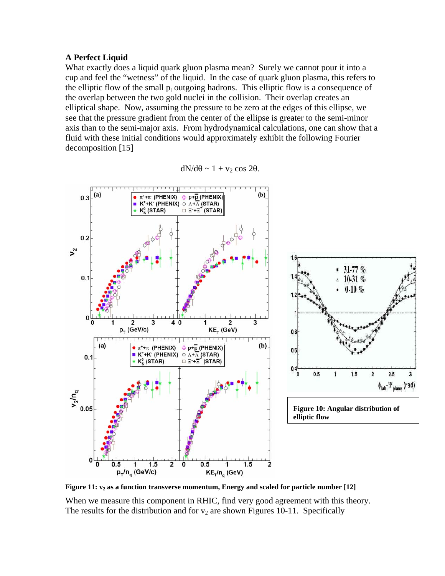# **A Perfect Liquid**

What exactly does a liquid quark gluon plasma mean? Surely we cannot pour it into a cup and feel the "wetness" of the liquid. In the case of quark gluon plasma, this refers to the elliptic flow of the small  $p_t$  outgoing hadrons. This elliptic flow is a consequence of the overlap between the two gold nuclei in the collision. Their overlap creates an elliptical shape. Now, assuming the pressure to be zero at the edges of this ellipse, we see that the pressure gradient from the center of the ellipse is greater to the semi-minor axis than to the semi-major axis. From hydrodynamical calculations, one can show that a fluid with these initial conditions would approximately exhibit the following Fourier decomposition [15]

$$
dN/d\theta \sim 1 + v_2 \cos 2\theta.
$$



Figure 11:  $v_2$  as a function transverse momentum, Energy and scaled for particle number [12]

When we measure this component in RHIC, find very good agreement with this theory. The results for the distribution and for  $v_2$  are shown Figures 10-11. Specifically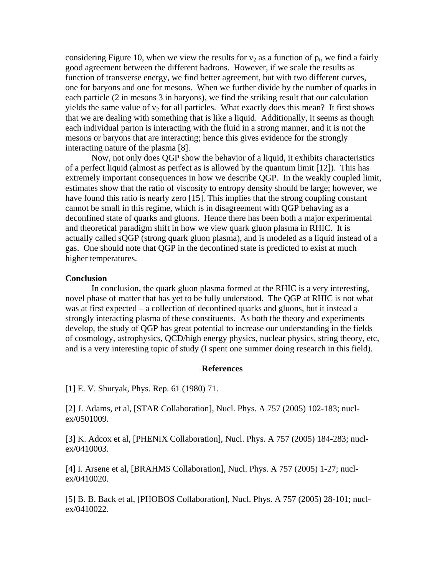considering Figure 10, when we view the results for  $v_2$  as a function of  $p_t$ , we find a fairly good agreement between the different hadrons. However, if we scale the results as function of transverse energy, we find better agreement, but with two different curves, one for baryons and one for mesons. When we further divide by the number of quarks in each particle (2 in mesons 3 in baryons), we find the striking result that our calculation yields the same value of  $v_2$  for all particles. What exactly does this mean? It first shows that we are dealing with something that is like a liquid. Additionally, it seems as though each individual parton is interacting with the fluid in a strong manner, and it is not the mesons or baryons that are interacting; hence this gives evidence for the strongly interacting nature of the plasma [8].

Now, not only does QGP show the behavior of a liquid, it exhibits characteristics of a perfect liquid (almost as perfect as is allowed by the quantum limit [12]). This has extremely important consequences in how we describe QGP. In the weakly coupled limit, estimates show that the ratio of viscosity to entropy density should be large; however, we have found this ratio is nearly zero [15]. This implies that the strong coupling constant cannot be small in this regime, which is in disagreement with QGP behaving as a deconfined state of quarks and gluons. Hence there has been both a major experimental and theoretical paradigm shift in how we view quark gluon plasma in RHIC. It is actually called sQGP (strong quark gluon plasma), and is modeled as a liquid instead of a gas. One should note that QGP in the deconfined state is predicted to exist at much higher temperatures.

#### **Conclusion**

In conclusion, the quark gluon plasma formed at the RHIC is a very interesting, novel phase of matter that has yet to be fully understood. The QGP at RHIC is not what was at first expected – a collection of deconfined quarks and gluons, but it instead a strongly interacting plasma of these constituents. As both the theory and experiments develop, the study of QGP has great potential to increase our understanding in the fields of cosmology, astrophysics, QCD/high energy physics, nuclear physics, string theory, etc, and is a very interesting topic of study (I spent one summer doing research in this field).

### **References**

[1] E. V. Shuryak, Phys. Rep. 61 (1980) 71.

[2] J. Adams, et al, [STAR Collaboration], Nucl. Phys. A 757 (2005) 102-183; nuclex/0501009.

[3] K. Adcox et al, [PHENIX Collaboration], Nucl. Phys. A 757 (2005) 184-283; nuclex/0410003.

[4] I. Arsene et al, [BRAHMS Collaboration], Nucl. Phys. A 757 (2005) 1-27; nuclex/0410020.

[5] B. B. Back et al, [PHOBOS Collaboration], Nucl. Phys. A 757 (2005) 28-101; nuclex/0410022.